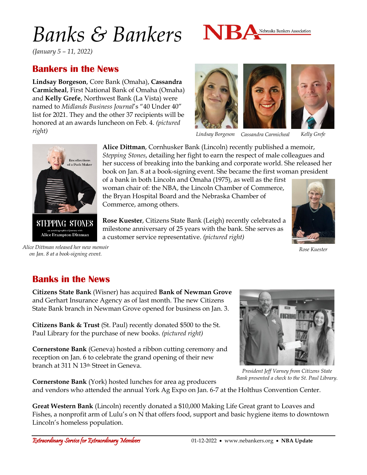# *Banks & Bankers*



*(January 5 – 11, 2022)*

#### **Bankers in the News**

**Lindsay Borgeson**, Core Bank (Omaha), **Cassandra Carmicheal**, First National Bank of Omaha (Omaha) and **Kelly Grefe**, Northwest Bank (La Vista) were named to *Midlands Business Journal*'s "40 Under 40" list for 2021. They and the other 37 recipients will be honored at an awards luncheon on Feb. 4. *(pictured right)*





*Lindsay Borgeson Cassandra Carmicheal Kelly Grefe*



**STEPPING STONES** Alice Frampton Dittman

*Alice Dittman released her new memoir on Jan. 8 at a book-signing event.*

**Alice Dittman**, Cornhusker Bank (Lincoln) recently published a memoir, *Stepping Stones*, detailing her fight to earn the respect of male colleagues and her success of breaking into the banking and corporate world. She released her book on Jan. 8 at a book-signing event. She became the first woman president

of a bank in both Lincoln and Omaha (1975), as well as the first woman chair of: the NBA, the Lincoln Chamber of Commerce, the Bryan Hospital Board and the Nebraska Chamber of Commerce, among others.

**Rose Kuester**, Citizens State Bank (Leigh) recently celebrated a milestone anniversary of 25 years with the bank. She serves as a customer service representative. *(pictured right)*



*Rose Kuester*

#### **Banks in the News**

**Citizens State Bank** (Wisner) has acquired **Bank of Newman Grove** and Gerhart Insurance Agency as of last month. The new Citizens State Bank branch in Newman Grove opened for business on Jan. 3.

**Citizens Bank & Trust** (St. Paul) recently donated \$500 to the St. Paul Library for the purchase of new books. *(pictured right)*

**Cornerstone Bank** (Geneva) hosted a ribbon cutting ceremony and reception on Jan. 6 to celebrate the grand opening of their new branch at 311 N 13th Street in Geneva.



**Cornerstone Bank** (York) hosted lunches for area ag producers and vendors who attended the annual York Ag Expo on Jan. 6-7 at the Holthus Convention Center.

**Great Western Bank** (Lincoln) recently donated a \$10,000 Making Life Great grant to Loaves and Fishes, a nonprofit arm of Lulu's on N that offers food, support and basic hygiene items to downtown Lincoln's homeless population.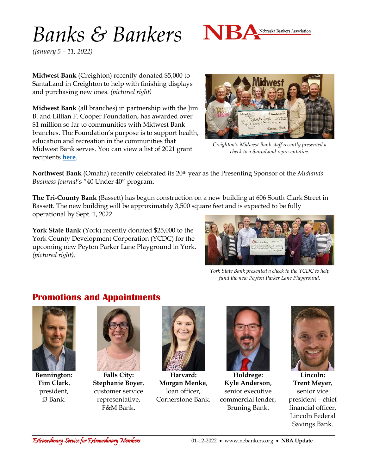## *Banks & Bankers*



*(January 5 – 11, 2022)*

**Midwest Bank** (Creighton) recently donated \$5,000 to SantaLand in Creighton to help with finishing displays and purchasing new ones. *(pictured right)*

**Midwest Bank** (all branches) in partnership with the Jim B. and Lillian F. Cooper Foundation, has awarded over \$1 million so far to communities with Midwest Bank branches. The Foundation's purpose is to support health, education and recreation in the communities that Midwest Bank serves. You can view a list of 2021 grant recipients **[here](https://www.midwestbank.com/in-the-news/cooper-foundation-grants-awarded-for-2021/)**.



*Creighton's Midwest Bank staff recently presented a check to a SantaLand representative.*

Northwest Bank (Omaha) recently celebrated its 20<sup>th</sup> year as the Presenting Sponsor of the *Midlands Business Journal*'s "40 Under 40" program.

**The Tri-County Bank** (Bassett) has begun construction on a new building at 606 South Clark Street in Bassett. The new building will be approximately 3,500 square feet and is expected to be fully operational by Sept. 1, 2022.

**York State Bank** (York) recently donated \$25,000 to the York County Development Corporation (YCDC) for the upcoming new Peyton Parker Lane Playground in York. *(pictured right)*.



*York State Bank presented a check to the YCDC to help fund the new Peyton Parker Lane Playground.*

### **Promotions and Appointments**



**Bennington: Tim Clark**, president, i3 Bank.



**Falls City: Stephanie Boyer**, customer service representative, F&M Bank.



**Harvard: Morgan Menke**, loan officer, Cornerstone Bank.



**Holdrege: Kyle Anderson**, senior executive commercial lender, Bruning Bank.



**Lincoln: Trent Meyer**, senior vice president – chief financial officer, Lincoln Federal Savings Bank.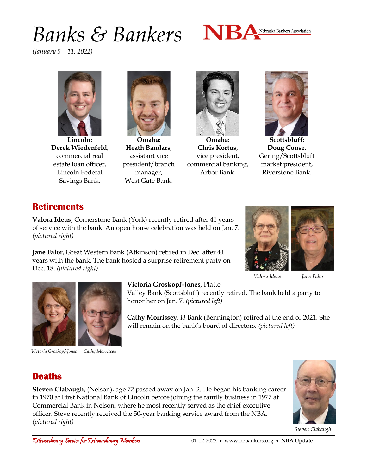## *Banks & Bankers*



*(January 5 – 11, 2022)*



**Lincoln: Derek Wiedenfeld**, commercial real estate loan officer, Lincoln Federal Savings Bank.



**Omaha: Heath Bandars**, assistant vice president/branch manager, West Gate Bank.



**Omaha: Chris Kortus**, vice president, commercial banking, Arbor Bank.



**Scottsbluff: Doug Couse**, Gering/Scottsbluff market president, Riverstone Bank.

### **Retirements**

**Valora Ideus**, Cornerstone Bank (York) recently retired after 41 years of service with the bank. An open house celebration was held on Jan. 7. *(pictured right)*

**Jane Falor**, Great Western Bank (Atkinson) retired in Dec. after 41 years with the bank. The bank hosted a surprise retirement party on Dec. 18. *(pictured right)*



*Valora Ideus Jane Falor*





*Victoria Groskopf-Jones*

*Cathy Morrissey*

#### **Victoria Groskopf-Jones**, Platte

Valley Bank (Scottsbluff) recently retired. The bank held a party to honor her on Jan. 7. *(pictured left)*

**Cathy Morrissey**, i3 Bank (Bennington) retired at the end of 2021. She will remain on the bank's board of directors. *(pictured left)*



**Steven Clabaugh**, (Nelson), age 72 passed away on Jan. 2. He began his banking career in 1970 at First National Bank of Lincoln before joining the family business in 1977 at Commercial Bank in Nelson, where he most recently served as the chief executive officer. Steve recently received the 50-year banking service award from the NBA. *(pictured right)*



*Steven Clabaugh*